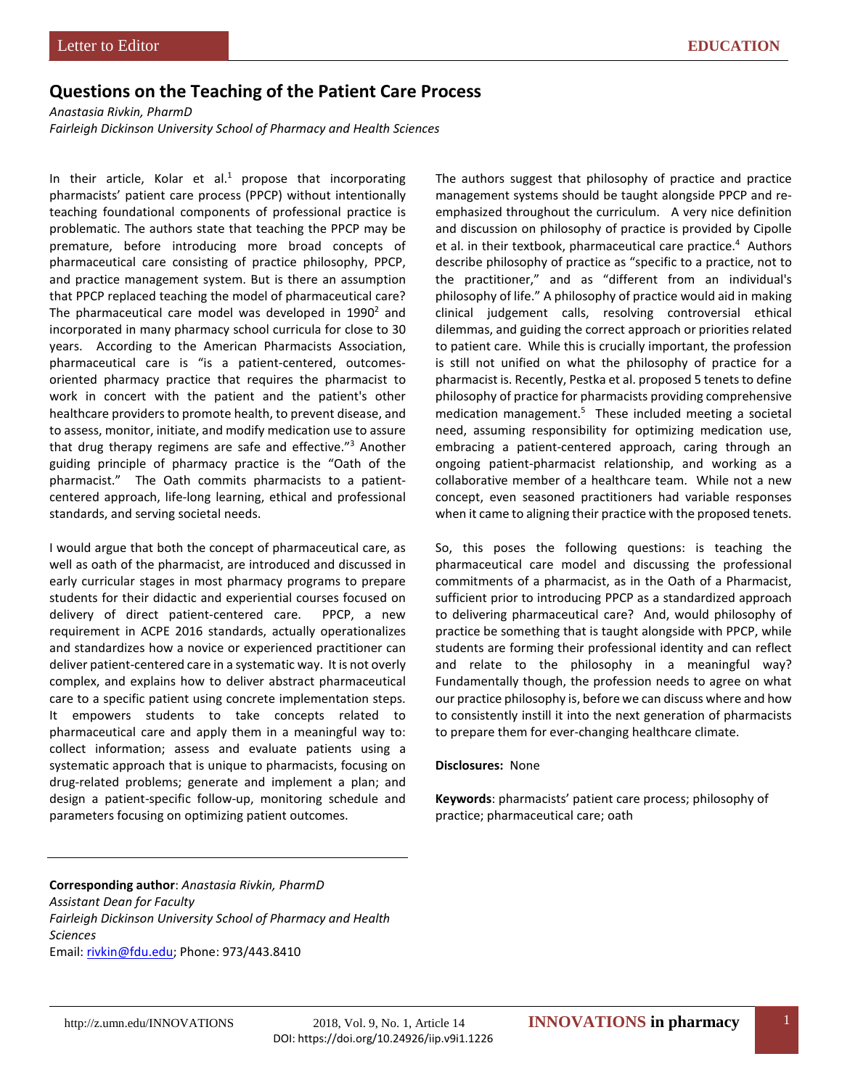## **Questions on the Teaching of the Patient Care Process**

*Anastasia Rivkin, PharmD*

*Fairleigh Dickinson University School of Pharmacy and Health Sciences*

In their article, Kolar et al.<sup>1</sup> propose that incorporating pharmacists' patient care process (PPCP) without intentionally teaching foundational components of professional practice is problematic. The authors state that teaching the PPCP may be premature, before introducing more broad concepts of pharmaceutical care consisting of practice philosophy, PPCP, and practice management system. But is there an assumption that PPCP replaced teaching the model of pharmaceutical care? The pharmaceutical care model was developed in  $1990<sup>2</sup>$  and incorporated in many pharmacy school curricula for close to 30 years. According to the American Pharmacists Association, pharmaceutical care is "is a patient-centered, outcomesoriented pharmacy practice that requires the pharmacist to work in concert with the patient and the patient's other healthcare providers to promote health, to prevent disease, and to assess, monitor, initiate, and modify medication use to assure that drug therapy regimens are safe and effective."3 Another guiding principle of pharmacy practice is the "Oath of the pharmacist." The Oath commits pharmacists to a patientcentered approach, life-long learning, ethical and professional standards, and serving societal needs.

I would argue that both the concept of pharmaceutical care, as well as oath of the pharmacist, are introduced and discussed in early curricular stages in most pharmacy programs to prepare students for their didactic and experiential courses focused on delivery of direct patient-centered care. PPCP, a new requirement in ACPE 2016 standards, actually operationalizes and standardizes how a novice or experienced practitioner can deliver patient-centered care in a systematic way. It is not overly complex, and explains how to deliver abstract pharmaceutical care to a specific patient using concrete implementation steps. It empowers students to take concepts related to pharmaceutical care and apply them in a meaningful way to: collect information; assess and evaluate patients using a systematic approach that is unique to pharmacists, focusing on drug-related problems; generate and implement a plan; and design a patient-specific follow-up, monitoring schedule and parameters focusing on optimizing patient outcomes.

The authors suggest that philosophy of practice and practice management systems should be taught alongside PPCP and reemphasized throughout the curriculum. A very nice definition and discussion on philosophy of practice is provided by Cipolle et al. in their textbook, pharmaceutical care practice.<sup>4</sup> Authors describe philosophy of practice as "specific to a practice, not to the practitioner," and as "different from an individual's philosophy of life." A philosophy of practice would aid in making clinical judgement calls, resolving controversial ethical dilemmas, and guiding the correct approach or priorities related to patient care. While this is crucially important, the profession is still not unified on what the philosophy of practice for a pharmacist is. Recently, Pestka et al. proposed 5 tenets to define philosophy of practice for pharmacists providing comprehensive medication management.<sup>5</sup> These included meeting a societal need, assuming responsibility for optimizing medication use, embracing a patient-centered approach, caring through an ongoing patient-pharmacist relationship, and working as a collaborative member of a healthcare team. While not a new concept, even seasoned practitioners had variable responses when it came to aligning their practice with the proposed tenets.

So, this poses the following questions: is teaching the pharmaceutical care model and discussing the professional commitments of a pharmacist, as in the Oath of a Pharmacist, sufficient prior to introducing PPCP as a standardized approach to delivering pharmaceutical care? And, would philosophy of practice be something that is taught alongside with PPCP, while students are forming their professional identity and can reflect and relate to the philosophy in a meaningful way? Fundamentally though, the profession needs to agree on what our practice philosophy is, before we can discuss where and how to consistently instill it into the next generation of pharmacists to prepare them for ever-changing healthcare climate.

## **Disclosures:** None

**Keywords**: pharmacists' patient care process; philosophy of practice; pharmaceutical care; oath

**Corresponding author**: *Anastasia Rivkin, PharmD Assistant Dean for Faculty Fairleigh Dickinson University School of Pharmacy and Health Sciences* Email: [rivkin@fdu.edu;](mailto:rivkin@fdu.edu) Phone: 973/443.8410